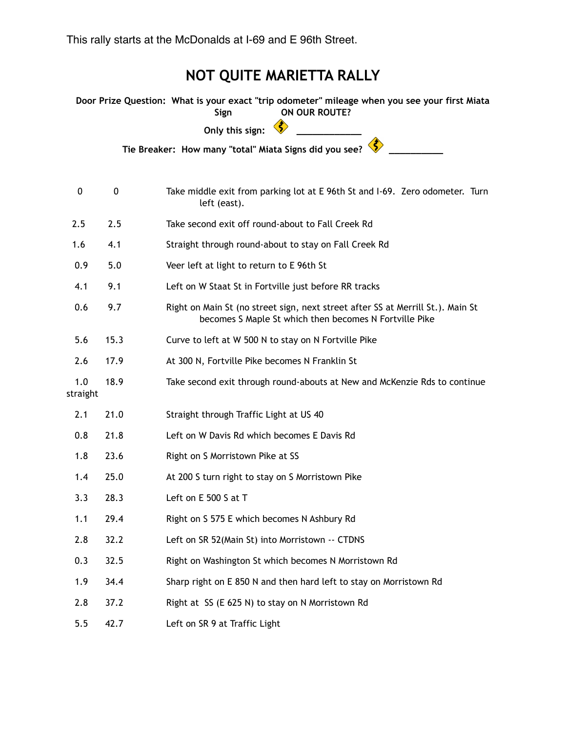This rally starts at the McDonalds at I-69 and E 96th Street.

## **NOT QUITE MARIETTA RALLY**

**Door Prize Question: What is your exact "trip odometer" mileage when you see your first Miata Sign ON OUR ROUTE? Only this sign: Tie Breaker: How many "total" Miata Signs did you see?** 0 0 0 Take middle exit from parking lot at E 96th St and I-69. Zero odometer. Turn left (east). 2.5 2.5 Take second exit off round-about to Fall Creek Rd 1.6 4.1 Straight through round-about to stay on Fall Creek Rd 0.9 5.0 Veer left at light to return to E 96th St 4.1 9.1 Left on W Staat St in Fortville just before RR tracks 0.6 9.7 Right on Main St (no street sign, next street after SS at Merrill St.). Main St becomes S Maple St which then becomes N Fortville Pike 5.6 15.3 Curve to left at W 500 N to stay on N Fortville Pike 2.6 17.9 At 300 N, Fortville Pike becomes N Franklin St 1.0 18.9 Take second exit through round-abouts at New and McKenzie Rds to continue straight 2.1 21.0 Straight through Traffic Light at US 40 0.8 21.8 Left on W Davis Rd which becomes E Davis Rd 1.8 23.6 Right on S Morristown Pike at SS 1.4 25.0 At 200 S turn right to stay on S Morristown Pike 3.3 28.3 Left on E 500 S at T 1.1 29.4 Right on S 575 E which becomes N Ashbury Rd 2.8 32.2 Left on SR 52(Main St) into Morristown -- CTDNS 0.3 32.5 Right on Washington St which becomes N Morristown Rd 1.9 34.4 Sharp right on E 850 N and then hard left to stay on Morristown Rd 2.8 37.2 Right at SS (E 625 N) to stay on N Morristown Rd 5.5 42.7 Left on SR 9 at Traffic Light